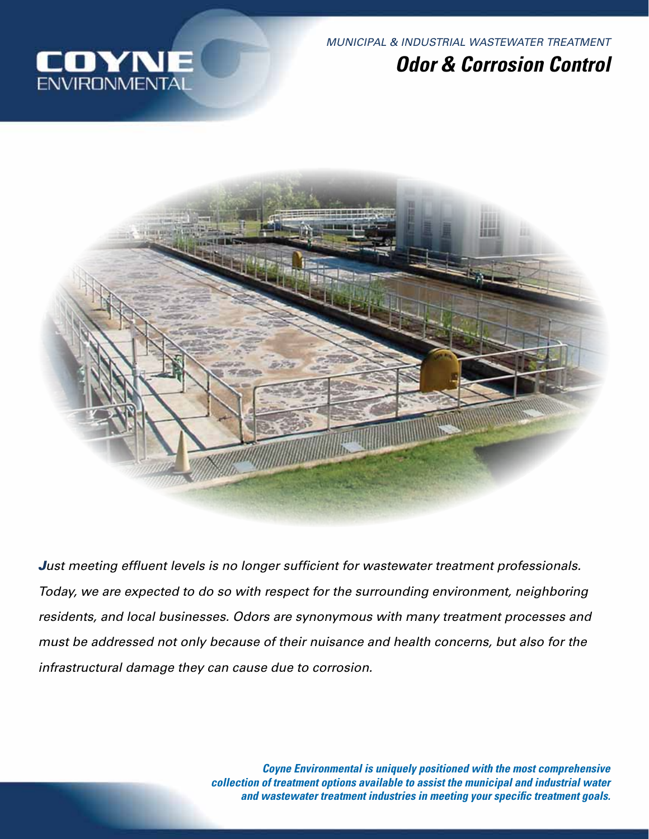

# IOYN **ENVIRONMENTA**

# *Odor & Corrosion Control*



*Just meeting effluent levels is no longer sufficient for wastewater treatment professionals. Today, we are expected to do so with respect for the surrounding environment, neighboring residents, and local businesses. Odors are synonymous with many treatment processes and must be addressed not only because of their nuisance and health concerns, but also for the infrastructural damage they can cause due to corrosion.* 

> *Coyne Environmental is uniquely positioned with the most comprehensive collection of treatment options available to assist the municipal and industrial water and wastewater treatment industries in meeting your specific treatment goals.*